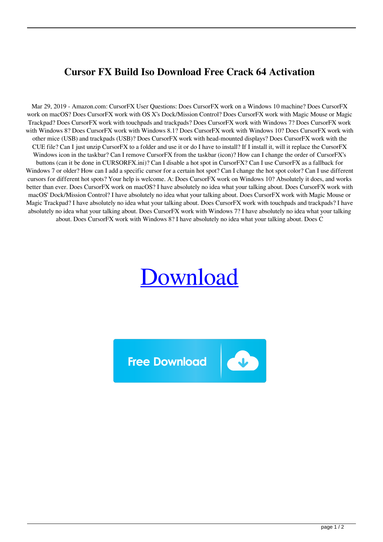## **Cursor FX Build Iso Download Free Crack 64 Activation**

Mar 29, 2019 - Amazon.com: CursorFX User Questions: Does CursorFX work on a Windows 10 machine? Does CursorFX work on macOS? Does CursorFX work with OS X's Dock/Mission Control? Does CursorFX work with Magic Mouse or Magic Trackpad? Does CursorFX work with touchpads and trackpads? Does CursorFX work with Windows 7? Does CursorFX work with Windows 8? Does CursorFX work with Windows 8.1? Does CursorFX work with Windows 10? Does CursorFX work with other mice (USB) and trackpads (USB)? Does CursorFX work with head-mounted displays? Does CursorFX work with the CUE file? Can I just unzip CursorFX to a folder and use it or do I have to install? If I install it, will it replace the CursorFX Windows icon in the taskbar? Can I remove CursorFX from the taskbar (icon)? How can I change the order of CursorFX's buttons (can it be done in CURSORFX.ini)? Can I disable a hot spot in CursorFX? Can I use CursorFX as a fallback for Windows 7 or older? How can I add a specific cursor for a certain hot spot? Can I change the hot spot color? Can I use different cursors for different hot spots? Your help is welcome. A: Does CursorFX work on Windows 10? Absolutely it does, and works better than ever. Does CursorFX work on macOS? I have absolutely no idea what your talking about. Does CursorFX work with macOS' Dock/Mission Control? I have absolutely no idea what your talking about. Does CursorFX work with Magic Mouse or Magic Trackpad? I have absolutely no idea what your talking about. Does CursorFX work with touchpads and trackpads? I have absolutely no idea what your talking about. Does CursorFX work with Windows 7? I have absolutely no idea what your talking about. Does CursorFX work with Windows 8? I have absolutely no idea what your talking about. Does C

## [Download](http://evacdir.com/ZG93bmxvYWR8ZFg4TW5SeGFueDhNVFkxTWpjME1EZzJObng4TWpVM05IeDhLRTBwSUhKbFlXUXRZbXh2WnlCYlJtRnpkQ0JIUlU1ZA/athleticism/benefitting.fossilization?costiveness=retune&Q3Vyc29yIEZYIFBsdXMgKFJFQUwgTk8gU0lEISkgZG93bmxvYWQgcGMQ3V=spleens.stablized)